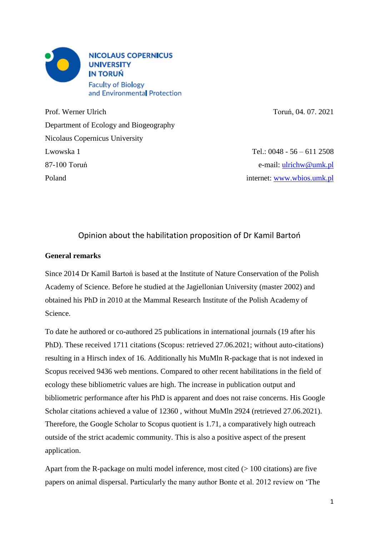

Prof. Werner Ulrich Toruń, 04. 07. 2021 Department of Ecology and Biogeography Nicolaus Copernicus University Lwowska 1 Tel.: 0048 - 56 – 611 2508 87-100 Toruń e-mail: [ulrichw@umk.pl](mailto:ulrichw@umk.pl) Poland internet: [www.wbios.umk.pl](http://www.wbios.umk.pl/)

# Opinion about the habilitation proposition of Dr Kamil Bartoń

## **General remarks**

Since 2014 Dr Kamil Bartoń is based at the Institute of Nature Conservation of the Polish Academy of Science. Before he studied at the Jagiellonian University (master 2002) and obtained his PhD in 2010 at the Mammal Research Institute of the Polish Academy of Science.

To date he authored or co-authored 25 publications in international journals (19 after his PhD). These received 1711 citations (Scopus: retrieved 27.06.2021; without auto-citations) resulting in a Hirsch index of 16. Additionally his MuMln R-package that is not indexed in Scopus received 9436 web mentions. Compared to other recent habilitations in the field of ecology these bibliometric values are high. The increase in publication output and bibliometric performance after his PhD is apparent and does not raise concerns. His Google Scholar citations achieved a value of 12360 , without MuMln 2924 (retrieved 27.06.2021). Therefore, the Google Scholar to Scopus quotient is 1.71, a comparatively high outreach outside of the strict academic community. This is also a positive aspect of the present application.

Apart from the R-package on multi model inference, most cited  $(> 100$  citations) are five papers on animal dispersal. Particularly the many author Bonte et al. 2012 review on 'The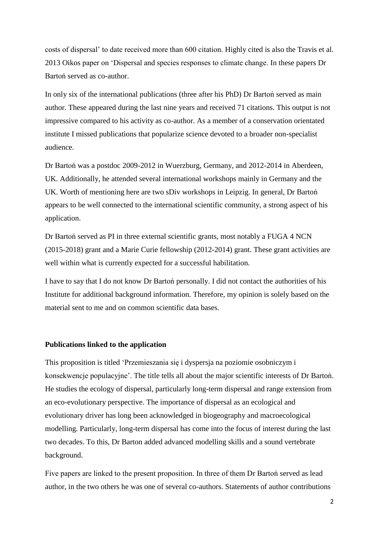costs of dispersal' to date received more than 600 citation. Highly cited is also the Travis et al. 2013 Oikos paper on 'Dispersal and species responses to climate change. In these papers Dr Bartoń served as co-author.

In only six of the international publications (three after his PhD) Dr Bartoń served as main author. These appeared during the last nine years and received 71 citations. This output is not impressive compared to his activity as co-author. As a member of a conservation orientated institute I missed publications that popularize science devoted to a broader non-specialist audience.

Dr Bartoń was a postdoc 2009-2012 in Wuerzburg, Germany, and 2012-2014 in Aberdeen, UK. Additionally, he attended several international workshops mainly in Germany and the UK. Worth of mentioning here are two sDiv workshops in Leipzig. In general, Dr Bartoń appears to be well connected to the international scientific community, a strong aspect of his application.

Dr Bartoń served as PI in three external scientific grants, most notably a FUGA 4 NCN (2015-2018) grant and a Marie Curie fellowship (2012-2014) grant. These grant activities are well within what is currently expected for a successful habilitation.

I have to say that I do not know Dr Bartoń personally. I did not contact the authorities of his Institute for additional background information. Therefore, my opinion is solely based on the material sent to me and on common scientific data bases.

#### **Publications linked to the application**

This proposition is titled 'Przemieszania się i dyspersja na poziomie osobniczym i konsekwencje populacyjne'. The title tells all about the major scientific interests of Dr Bartoń. He studies the ecology of dispersal, particularly long-term dispersal and range extension from an eco-evolutionary perspective. The importance of dispersal as an ecological and evolutionary driver has long been acknowledged in biogeography and macroecological modelling. Particularly, long-term dispersal has come into the focus of interest during the last two decades. To this, Dr Barton added advanced modelling skills and a sound vertebrate background.

Five papers are linked to the present proposition. In three of them Dr Bartoń served as lead author, in the two others he was one of several co-authors. Statements of author contributions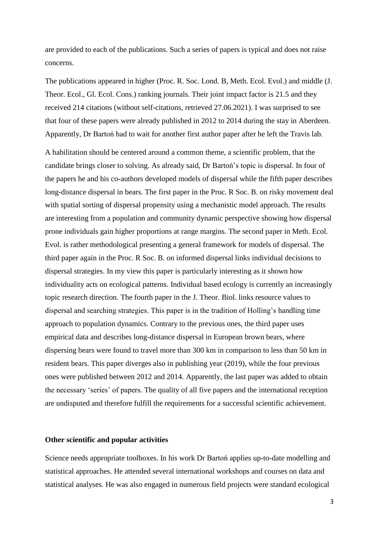are provided to each of the publications. Such a series of papers is typical and does not raise concerns.

The publications appeared in higher (Proc. R. Soc. Lond. B, Meth. Ecol. Evol.) and middle (J. Theor. Ecol., Gl. Ecol. Cons.) ranking journals. Their joint impact factor is 21.5 and they received 214 citations (without self-citations, retrieved 27.06.2021). I was surprised to see that four of these papers were already published in 2012 to 2014 during the stay in Aberdeen. Apparently, Dr Bartoń had to wait for another first author paper after he left the Travis lab.

A habilitation should be centered around a common theme, a scientific problem, that the candidate brings closer to solving. As already said, Dr Bartoń's topic is dispersal. In four of the papers he and his co-authors developed models of dispersal while the fifth paper describes long-distance dispersal in bears. The first paper in the Proc. R Soc. B. on risky movement deal with spatial sorting of dispersal propensity using a mechanistic model approach. The results are interesting from a population and community dynamic perspective showing how dispersal prone individuals gain higher proportions at range margins. The second paper in Meth. Ecol. Evol. is rather methodological presenting a general framework for models of dispersal. The third paper again in the Proc. R Soc. B. on informed dispersal links individual decisions to dispersal strategies. In my view this paper is particularly interesting as it shown how individuality acts on ecological patterns. Individual based ecology is currently an increasingly topic research direction. The fourth paper in the J. Theor. Biol. links resource values to dispersal and searching strategies. This paper is in the tradition of Holling's handling time approach to population dynamics. Contrary to the previous ones, the third paper uses empirical data and describes long-distance dispersal in European brown bears, where dispersing bears were found to travel more than 300 km in comparison to less than 50 km in resident bears. This paper diverges also in publishing year (2019), while the four previous ones were published between 2012 and 2014. Apparently, the last paper was added to obtain the necessary 'series' of papers. The quality of all five papers and the international reception are undisputed and therefore fulfill the requirements for a successful scientific achievement.

### **Other scientific and popular activities**

Science needs appropriate toolboxes. In his work Dr Bartoń applies up-to-date modelling and statistical approaches. He attended several international workshops and courses on data and statistical analyses. He was also engaged in numerous field projects were standard ecological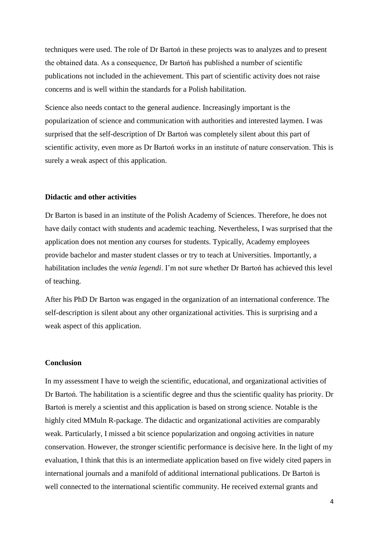techniques were used. The role of Dr Bartoń in these projects was to analyzes and to present the obtained data. As a consequence, Dr Bartoń has published a number of scientific publications not included in the achievement. This part of scientific activity does not raise concerns and is well within the standards for a Polish habilitation.

Science also needs contact to the general audience. Increasingly important is the popularization of science and communication with authorities and interested laymen. I was surprised that the self-description of Dr Bartoń was completely silent about this part of scientific activity, even more as Dr Bartoń works in an institute of nature conservation. This is surely a weak aspect of this application.

#### **Didactic and other activities**

Dr Barton is based in an institute of the Polish Academy of Sciences. Therefore, he does not have daily contact with students and academic teaching. Nevertheless, I was surprised that the application does not mention any courses for students. Typically, Academy employees provide bachelor and master student classes or try to teach at Universities. Importantly, a habilitation includes the *venia legendi*. I'm not sure whether Dr Bartoń has achieved this level of teaching.

After his PhD Dr Barton was engaged in the organization of an international conference. The self-description is silent about any other organizational activities. This is surprising and a weak aspect of this application.

## **Conclusion**

In my assessment I have to weigh the scientific, educational, and organizational activities of Dr Bartoń. The habilitation is a scientific degree and thus the scientific quality has priority. Dr Bartoń is merely a scientist and this application is based on strong science. Notable is the highly cited MMuln R-package. The didactic and organizational activities are comparably weak. Particularly, I missed a bit science popularization and ongoing activities in nature conservation. However, the stronger scientific performance is decisive here. In the light of my evaluation, I think that this is an intermediate application based on five widely cited papers in international journals and a manifold of additional international publications. Dr Bartoń is well connected to the international scientific community. He received external grants and